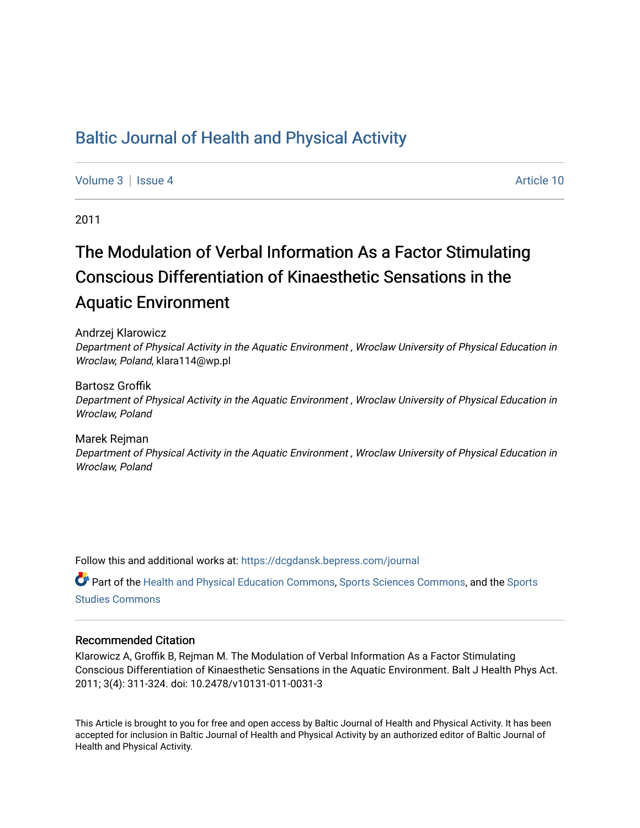# [Baltic Journal of Health and Physical Activity](https://dcgdansk.bepress.com/journal)

[Volume 3](https://dcgdansk.bepress.com/journal/vol3) | [Issue 4](https://dcgdansk.bepress.com/journal/vol3/iss4) Article 10

2011

# The Modulation of Verbal Information As a Factor Stimulating Conscious Differentiation of Kinaesthetic Sensations in the Aquatic Environment

Andrzej Klarowicz Department of Physical Activity in the Aquatic Environment , Wroclaw University of Physical Education in Wroclaw, Poland, klara114@wp.pl

Bartosz Groffik Department of Physical Activity in the Aquatic Environment , Wroclaw University of Physical Education in Wroclaw, Poland

Marek Rejman Department of Physical Activity in the Aquatic Environment , Wroclaw University of Physical Education in Wroclaw, Poland

Follow this and additional works at: [https://dcgdansk.bepress.com/journal](https://dcgdansk.bepress.com/journal?utm_source=dcgdansk.bepress.com%2Fjournal%2Fvol3%2Fiss4%2F10&utm_medium=PDF&utm_campaign=PDFCoverPages)

Part of the [Health and Physical Education Commons](http://network.bepress.com/hgg/discipline/1327?utm_source=dcgdansk.bepress.com%2Fjournal%2Fvol3%2Fiss4%2F10&utm_medium=PDF&utm_campaign=PDFCoverPages), [Sports Sciences Commons](http://network.bepress.com/hgg/discipline/759?utm_source=dcgdansk.bepress.com%2Fjournal%2Fvol3%2Fiss4%2F10&utm_medium=PDF&utm_campaign=PDFCoverPages), and the [Sports](http://network.bepress.com/hgg/discipline/1198?utm_source=dcgdansk.bepress.com%2Fjournal%2Fvol3%2Fiss4%2F10&utm_medium=PDF&utm_campaign=PDFCoverPages)  [Studies Commons](http://network.bepress.com/hgg/discipline/1198?utm_source=dcgdansk.bepress.com%2Fjournal%2Fvol3%2Fiss4%2F10&utm_medium=PDF&utm_campaign=PDFCoverPages) 

#### Recommended Citation

Klarowicz A, Groffik B, Rejman M. The Modulation of Verbal Information As a Factor Stimulating Conscious Differentiation of Kinaesthetic Sensations in the Aquatic Environment. Balt J Health Phys Act. 2011; 3(4): 311-324. doi: 10.2478/v10131-011-0031-3

This Article is brought to you for free and open access by Baltic Journal of Health and Physical Activity. It has been accepted for inclusion in Baltic Journal of Health and Physical Activity by an authorized editor of Baltic Journal of Health and Physical Activity.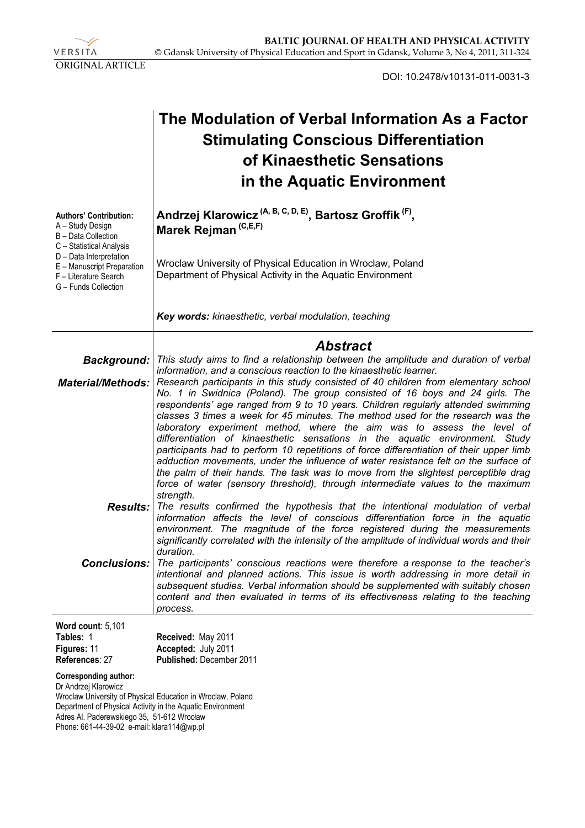VERSITA ORIGINAL ARTICLE

DOI: 10.2478/v10131-011-0031-3

|                                                                                                                                                                  | The Modulation of Verbal Information As a Factor<br><b>Stimulating Conscious Differentiation</b><br>of Kinaesthetic Sensations<br>in the Aquatic Environment                                                                                                                                                                                                                                                                                                                                                                                                                                                                                                                                        |  |  |  |  |  |
|------------------------------------------------------------------------------------------------------------------------------------------------------------------|-----------------------------------------------------------------------------------------------------------------------------------------------------------------------------------------------------------------------------------------------------------------------------------------------------------------------------------------------------------------------------------------------------------------------------------------------------------------------------------------------------------------------------------------------------------------------------------------------------------------------------------------------------------------------------------------------------|--|--|--|--|--|
| <b>Authors' Contribution:</b><br>A - Study Design<br>B - Data Collection<br>C - Statistical Analysis<br>D - Data Interpretation                                  | Andrzej Klarowicz <sup> (A, B, C, D, E)</sup> , Bartosz Groffik <sup>(F)</sup> ,<br>Marek Rejman <sup>(C,E,F)</sup><br>Wroclaw University of Physical Education in Wroclaw, Poland                                                                                                                                                                                                                                                                                                                                                                                                                                                                                                                  |  |  |  |  |  |
| E - Manuscript Preparation<br>F - Literature Search<br>G - Funds Collection                                                                                      | Department of Physical Activity in the Aquatic Environment                                                                                                                                                                                                                                                                                                                                                                                                                                                                                                                                                                                                                                          |  |  |  |  |  |
|                                                                                                                                                                  | Key words: kinaesthetic, verbal modulation, teaching                                                                                                                                                                                                                                                                                                                                                                                                                                                                                                                                                                                                                                                |  |  |  |  |  |
|                                                                                                                                                                  | <b>Abstract</b>                                                                                                                                                                                                                                                                                                                                                                                                                                                                                                                                                                                                                                                                                     |  |  |  |  |  |
| <b>Background:</b>                                                                                                                                               | This study aims to find a relationship between the amplitude and duration of verbal<br>information, and a conscious reaction to the kinaesthetic learner.                                                                                                                                                                                                                                                                                                                                                                                                                                                                                                                                           |  |  |  |  |  |
| <b>Material/Methods:</b>                                                                                                                                         | Research participants in this study consisted of 40 children from elementary school<br>No. 1 in Swidnica (Poland). The group consisted of 16 boys and 24 girls. The                                                                                                                                                                                                                                                                                                                                                                                                                                                                                                                                 |  |  |  |  |  |
|                                                                                                                                                                  | respondents' age ranged from 9 to 10 years. Children regularly attended swimming<br>classes 3 times a week for 45 minutes. The method used for the research was the<br>laboratory experiment method, where the aim was to assess the level of<br>differentiation of kinaesthetic sensations in the aquatic environment. Study<br>participants had to perform 10 repetitions of force differentiation of their upper limb<br>adduction movements, under the influence of water resistance felt on the surface of<br>the palm of their hands. The task was to move from the slightest perceptible drag<br>force of water (sensory threshold), through intermediate values to the maximum<br>strength. |  |  |  |  |  |
| <b>Results:</b>                                                                                                                                                  | The results confirmed the hypothesis that the intentional modulation of verbal<br>information affects the level of conscious differentiation force in the aquatic<br>environment. The magnitude of the force registered during the measurements<br>significantly correlated with the intensity of the amplitude of individual words and their<br>duration.                                                                                                                                                                                                                                                                                                                                          |  |  |  |  |  |
| <b>Conclusions:</b>                                                                                                                                              | The participants' conscious reactions were therefore a response to the teacher's<br>intentional and planned actions. This issue is worth addressing in more detail in<br>subsequent studies. Verbal information should be supplemented with suitably chosen<br>content and then evaluated in terms of its effectiveness relating to the teaching<br>process.                                                                                                                                                                                                                                                                                                                                        |  |  |  |  |  |
| Word count: 5,101                                                                                                                                                |                                                                                                                                                                                                                                                                                                                                                                                                                                                                                                                                                                                                                                                                                                     |  |  |  |  |  |
| Tables: 1<br>Figures: 11                                                                                                                                         | Received: May 2011<br>Accepted: July 2011                                                                                                                                                                                                                                                                                                                                                                                                                                                                                                                                                                                                                                                           |  |  |  |  |  |
| References: 27                                                                                                                                                   | Published: December 2011                                                                                                                                                                                                                                                                                                                                                                                                                                                                                                                                                                                                                                                                            |  |  |  |  |  |
| <b>Corresponding author:</b><br>Dr Andrzej Klarowicz<br>Department of Physical Activity in the Aquatic Environment<br>Adres Al. Paderewskiego 35, 51-612 Wrocław | Wroclaw University of Physical Education in Wroclaw, Poland                                                                                                                                                                                                                                                                                                                                                                                                                                                                                                                                                                                                                                         |  |  |  |  |  |

Phone: 661-44-39-02 e-mail: klara114@wp.pl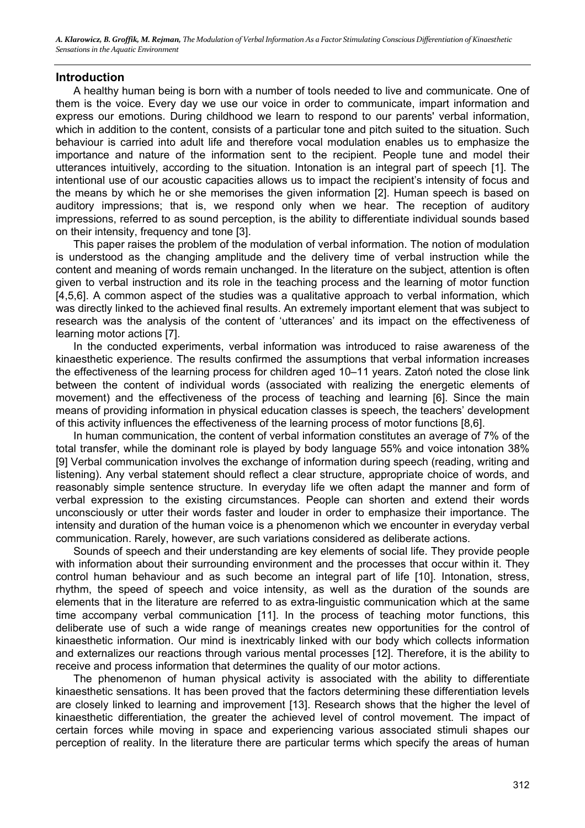#### **Introduction**

A healthy human being is born with a number of tools needed to live and communicate. One of them is the voice. Every day we use our voice in order to communicate, impart information and express our emotions. During childhood we learn to respond to our parents' verbal information, which in addition to the content, consists of a particular tone and pitch suited to the situation. Such behaviour is carried into adult life and therefore vocal modulation enables us to emphasize the importance and nature of the information sent to the recipient. People tune and model their utterances intuitively, according to the situation. Intonation is an integral part of speech [1]. The intentional use of our acoustic capacities allows us to impact the recipient's intensity of focus and the means by which he or she memorises the given information [2]. Human speech is based on auditory impressions; that is, we respond only when we hear. The reception of auditory impressions, referred to as sound perception, is the ability to differentiate individual sounds based on their intensity, frequency and tone [3].

This paper raises the problem of the modulation of verbal information. The notion of modulation is understood as the changing amplitude and the delivery time of verbal instruction while the content and meaning of words remain unchanged. In the literature on the subject, attention is often given to verbal instruction and its role in the teaching process and the learning of motor function [4,5,6]. A common aspect of the studies was a qualitative approach to verbal information, which was directly linked to the achieved final results. An extremely important element that was subject to research was the analysis of the content of 'utterances' and its impact on the effectiveness of learning motor actions [7].

In the conducted experiments, verbal information was introduced to raise awareness of the kinaesthetic experience. The results confirmed the assumptions that verbal information increases the effectiveness of the learning process for children aged 10–11 years. Zatoń noted the close link between the content of individual words (associated with realizing the energetic elements of movement) and the effectiveness of the process of teaching and learning [6]. Since the main means of providing information in physical education classes is speech, the teachers' development of this activity influences the effectiveness of the learning process of motor functions [8,6].

In human communication, the content of verbal information constitutes an average of 7% of the total transfer, while the dominant role is played by body language 55% and voice intonation 38% [9] Verbal communication involves the exchange of information during speech (reading, writing and listening). Any verbal statement should reflect a clear structure, appropriate choice of words, and reasonably simple sentence structure. In everyday life we often adapt the manner and form of verbal expression to the existing circumstances. People can shorten and extend their words unconsciously or utter their words faster and louder in order to emphasize their importance. The intensity and duration of the human voice is a phenomenon which we encounter in everyday verbal communication. Rarely, however, are such variations considered as deliberate actions.

Sounds of speech and their understanding are key elements of social life. They provide people with information about their surrounding environment and the processes that occur within it. They control human behaviour and as such become an integral part of life [10]. Intonation, stress, rhythm, the speed of speech and voice intensity, as well as the duration of the sounds are elements that in the literature are referred to as extra-linguistic communication which at the same time accompany verbal communication [11]. In the process of teaching motor functions, this deliberate use of such a wide range of meanings creates new opportunities for the control of kinaesthetic information. Our mind is inextricably linked with our body which collects information and externalizes our reactions through various mental processes [12]. Therefore, it is the ability to receive and process information that determines the quality of our motor actions.

The phenomenon of human physical activity is associated with the ability to differentiate kinaesthetic sensations. It has been proved that the factors determining these differentiation levels are closely linked to learning and improvement [13]. Research shows that the higher the level of kinaesthetic differentiation, the greater the achieved level of control movement. The impact of certain forces while moving in space and experiencing various associated stimuli shapes our perception of reality. In the literature there are particular terms which specify the areas of human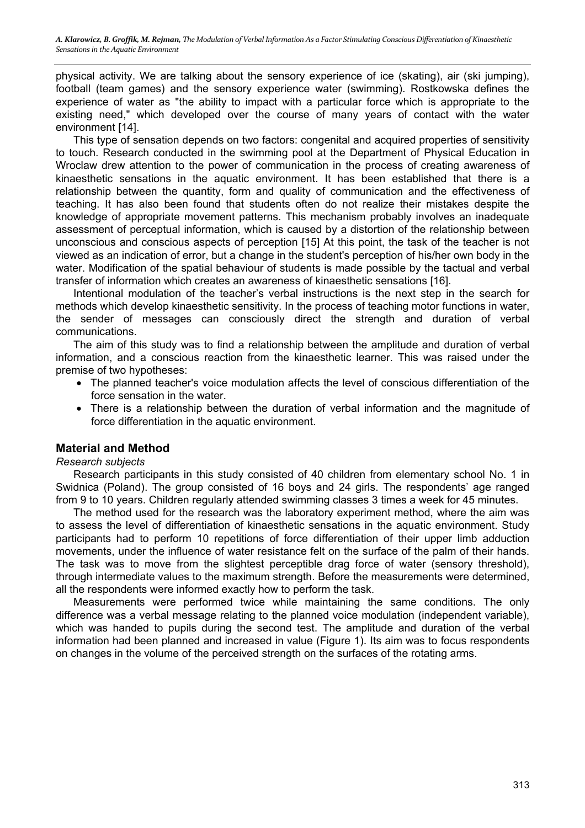physical activity. We are talking about the sensory experience of ice (skating), air (ski jumping), football (team games) and the sensory experience water (swimming). Rostkowska defines the experience of water as "the ability to impact with a particular force which is appropriate to the existing need," which developed over the course of many years of contact with the water environment [14].

This type of sensation depends on two factors: congenital and acquired properties of sensitivity to touch. Research conducted in the swimming pool at the Department of Physical Education in Wroclaw drew attention to the power of communication in the process of creating awareness of kinaesthetic sensations in the aquatic environment. It has been established that there is a relationship between the quantity, form and quality of communication and the effectiveness of teaching. It has also been found that students often do not realize their mistakes despite the knowledge of appropriate movement patterns. This mechanism probably involves an inadequate assessment of perceptual information, which is caused by a distortion of the relationship between unconscious and conscious aspects of perception [15] At this point, the task of the teacher is not viewed as an indication of error, but a change in the student's perception of his/her own body in the water. Modification of the spatial behaviour of students is made possible by the tactual and verbal transfer of information which creates an awareness of kinaesthetic sensations [16].

Intentional modulation of the teacher's verbal instructions is the next step in the search for methods which develop kinaesthetic sensitivity. In the process of teaching motor functions in water, the sender of messages can consciously direct the strength and duration of verbal communications.

The aim of this study was to find a relationship between the amplitude and duration of verbal information, and a conscious reaction from the kinaesthetic learner. This was raised under the premise of two hypotheses:

- The planned teacher's voice modulation affects the level of conscious differentiation of the force sensation in the water.
- There is a relationship between the duration of verbal information and the magnitude of force differentiation in the aquatic environment.

# **Material and Method**

#### *Research subjects*

Research participants in this study consisted of 40 children from elementary school No. 1 in Swidnica (Poland). The group consisted of 16 boys and 24 girls. The respondents' age ranged from 9 to 10 years. Children regularly attended swimming classes 3 times a week for 45 minutes.

The method used for the research was the laboratory experiment method, where the aim was to assess the level of differentiation of kinaesthetic sensations in the aquatic environment. Study participants had to perform 10 repetitions of force differentiation of their upper limb adduction movements, under the influence of water resistance felt on the surface of the palm of their hands. The task was to move from the slightest perceptible drag force of water (sensory threshold), through intermediate values to the maximum strength. Before the measurements were determined, all the respondents were informed exactly how to perform the task.

Measurements were performed twice while maintaining the same conditions. The only difference was a verbal message relating to the planned voice modulation (independent variable), which was handed to pupils during the second test. The amplitude and duration of the verbal information had been planned and increased in value (Figure 1). Its aim was to focus respondents on changes in the volume of the perceived strength on the surfaces of the rotating arms.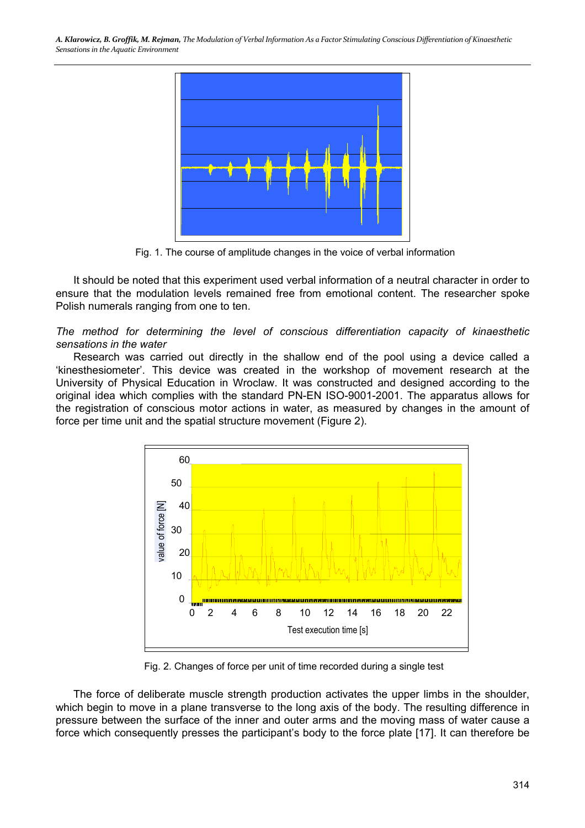

Fig. 1. The course of amplitude changes in the voice of verbal information

It should be noted that this experiment used verbal information of a neutral character in order to ensure that the modulation levels remained free from emotional content. The researcher spoke Polish numerals ranging from one to ten.

*The method for determining the level of conscious differentiation capacity of kinaesthetic sensations in the water* 

Research was carried out directly in the shallow end of the pool using a device called a 'kinesthesiometer'. This device was created in the workshop of movement research at the University of Physical Education in Wroclaw. It was constructed and designed according to the original idea which complies with the standard PN-EN ISO-9001-2001. The apparatus allows for the registration of conscious motor actions in water, as measured by changes in the amount of force per time unit and the spatial structure movement (Figure 2).



Fig. 2. Changes of force per unit of time recorded during a single test

The force of deliberate muscle strength production activates the upper limbs in the shoulder, which begin to move in a plane transverse to the long axis of the body. The resulting difference in pressure between the surface of the inner and outer arms and the moving mass of water cause a force which consequently presses the participant's body to the force plate [17]. It can therefore be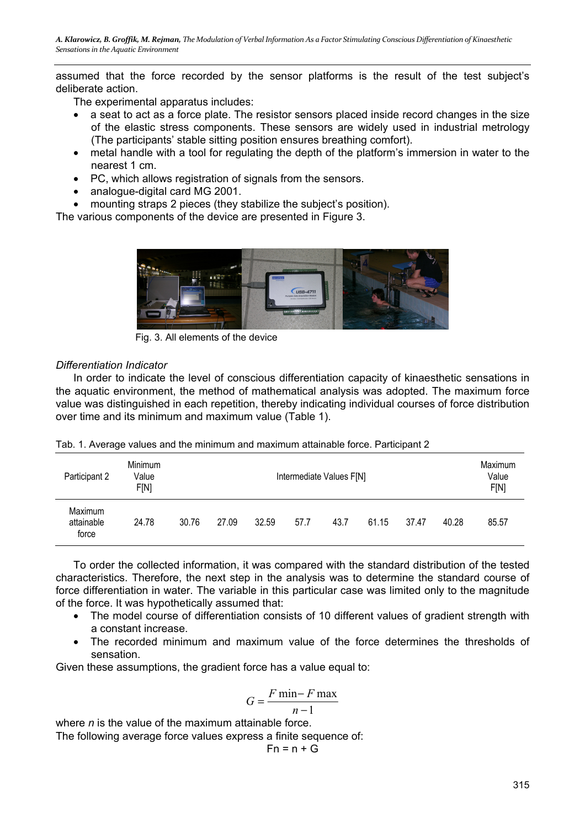assumed that the force recorded by the sensor platforms is the result of the test subject's deliberate action.

The experimental apparatus includes:

- a seat to act as a force plate. The resistor sensors placed inside record changes in the size of the elastic stress components. These sensors are widely used in industrial metrology (The participants' stable sitting position ensures breathing comfort).
- metal handle with a tool for regulating the depth of the platform's immersion in water to the nearest 1 cm.
- PC, which allows registration of signals from the sensors.
- analogue-digital card MG 2001.
- mounting straps 2 pieces (they stabilize the subject's position).

The various components of the device are presented in Figure 3.



Fig. 3. All elements of the device

#### *Differentiation Indicator*

In order to indicate the level of conscious differentiation capacity of kinaesthetic sensations in the aquatic environment, the method of mathematical analysis was adopted. The maximum force value was distinguished in each repetition, thereby indicating individual courses of force distribution over time and its minimum and maximum value (Table 1).

|  |  |  |  |  | Tab. 1. Average values and the minimum and maximum attainable force. Participant 2 |  |
|--|--|--|--|--|------------------------------------------------------------------------------------|--|
|  |  |  |  |  |                                                                                    |  |

| Participant 2                  | Minimum<br>Value<br>F[N] | Intermediate Values F[N] |       |       |      |      |       |       | Maximum<br>Value<br>F[N] |       |
|--------------------------------|--------------------------|--------------------------|-------|-------|------|------|-------|-------|--------------------------|-------|
| Maximum<br>attainable<br>force | 24.78                    | 30.76                    | 27.09 | 32.59 | 57.7 | 43.7 | 61.15 | 37.47 | 40.28                    | 85.57 |

To order the collected information, it was compared with the standard distribution of the tested characteristics. Therefore, the next step in the analysis was to determine the standard course of force differentiation in water. The variable in this particular case was limited only to the magnitude of the force. It was hypothetically assumed that:

- The model course of differentiation consists of 10 different values of gradient strength with a constant increase.
- The recorded minimum and maximum value of the force determines the thresholds of sensation.

Given these assumptions, the gradient force has a value equal to:

$$
G = \frac{F \min - F \max}{n - 1}
$$

where *n* is the value of the maximum attainable force.

The following average force values express a finite sequence of:

$$
\mathsf{Fn} = \mathsf{n} + \mathsf{G}
$$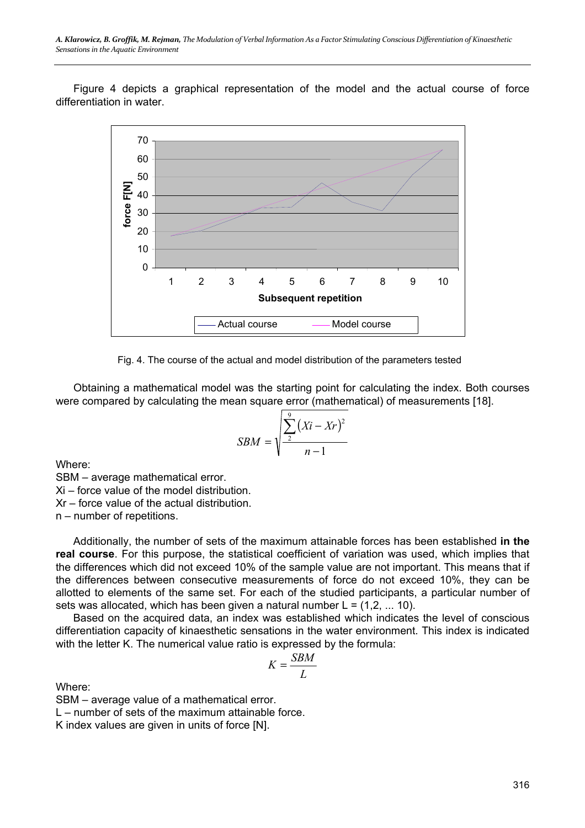Figure 4 depicts a graphical representation of the model and the actual course of force differentiation in water.



Fig. 4. The course of the actual and model distribution of the parameters tested

Obtaining a mathematical model was the starting point for calculating the index. Both courses were compared by calculating the mean square error (mathematical) of measurements [18].

$$
SBM = \sqrt{\frac{\sum_{i=1}^{9} (Xi - xr)^2}{n-1}}
$$

Where:

SBM – average mathematical error.

Xi – force value of the model distribution.

Xr – force value of the actual distribution.

n – number of repetitions.

Additionally, the number of sets of the maximum attainable forces has been established **in the real course**. For this purpose, the statistical coefficient of variation was used, which implies that the differences which did not exceed 10% of the sample value are not important. This means that if the differences between consecutive measurements of force do not exceed 10%, they can be allotted to elements of the same set. For each of the studied participants, a particular number of sets was allocated, which has been given a natural number  $L = (1, 2, \dots, 10)$ .

Based on the acquired data, an index was established which indicates the level of conscious differentiation capacity of kinaesthetic sensations in the water environment. This index is indicated with the letter K. The numerical value ratio is expressed by the formula:

$$
K = \frac{SBM}{L}
$$

Where:

SBM – average value of a mathematical error.

L – number of sets of the maximum attainable force.

K index values are given in units of force [N].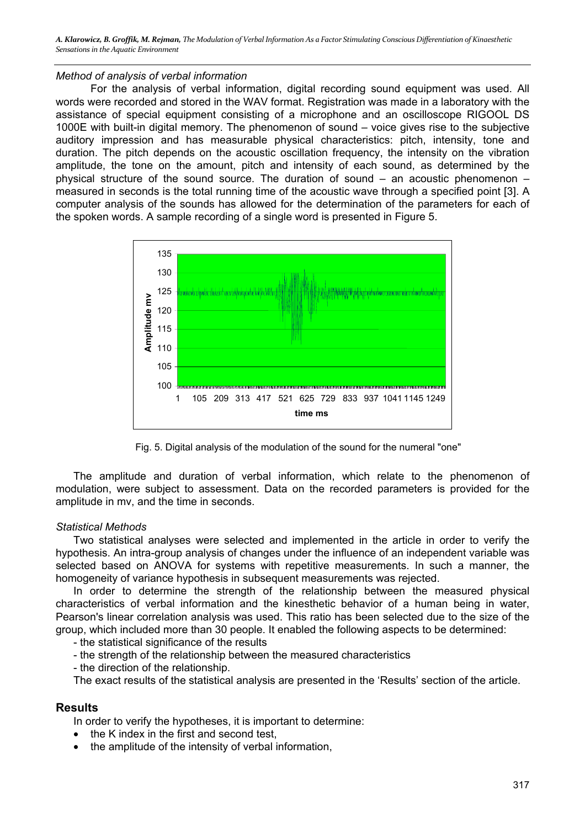#### *Method of analysis of verbal information*

For the analysis of verbal information, digital recording sound equipment was used. All words were recorded and stored in the WAV format. Registration was made in a laboratory with the assistance of special equipment consisting of a microphone and an oscilloscope RIGOOL DS 1000E with built-in digital memory. The phenomenon of sound – voice gives rise to the subjective auditory impression and has measurable physical characteristics: pitch, intensity, tone and duration. The pitch depends on the acoustic oscillation frequency, the intensity on the vibration amplitude, the tone on the amount, pitch and intensity of each sound, as determined by the physical structure of the sound source. The duration of sound – an acoustic phenomenon – measured in seconds is the total running time of the acoustic wave through a specified point [3]. A computer analysis of the sounds has allowed for the determination of the parameters for each of the spoken words. A sample recording of a single word is presented in Figure 5.



Fig. 5. Digital analysis of the modulation of the sound for the numeral "one"

The amplitude and duration of verbal information, which relate to the phenomenon of modulation, were subject to assessment. Data on the recorded parameters is provided for the amplitude in mv, and the time in seconds.

#### *Statistical Methods*

Two statistical analyses were selected and implemented in the article in order to verify the hypothesis. An intra-group analysis of changes under the influence of an independent variable was selected based on ANOVA for systems with repetitive measurements. In such a manner, the homogeneity of variance hypothesis in subsequent measurements was rejected.

In order to determine the strength of the relationship between the measured physical characteristics of verbal information and the kinesthetic behavior of a human being in water, Pearson's linear correlation analysis was used. This ratio has been selected due to the size of the group, which included more than 30 people. It enabled the following aspects to be determined:

- the statistical significance of the results

- the strength of the relationship between the measured characteristics
- the direction of the relationship.

The exact results of the statistical analysis are presented in the 'Results' section of the article.

#### **Results**

In order to verify the hypotheses, it is important to determine:

- the K index in the first and second test.
- the amplitude of the intensity of verbal information,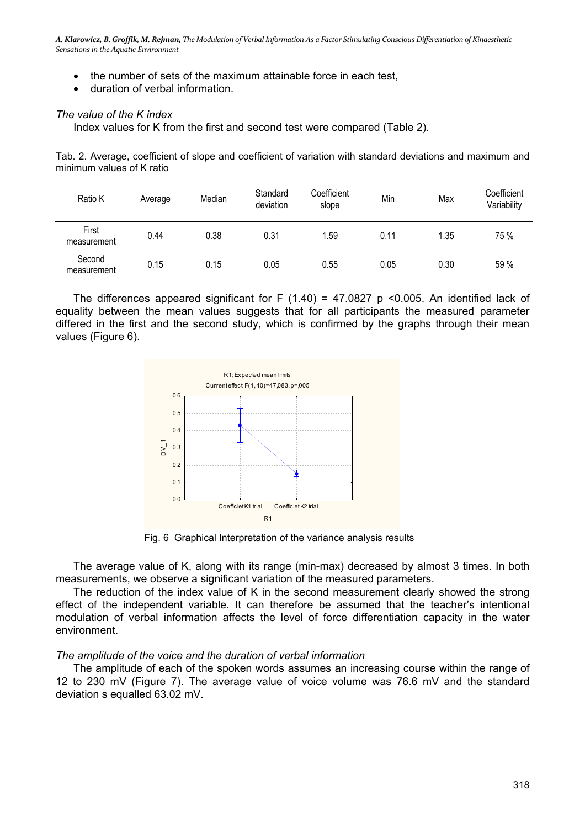- the number of sets of the maximum attainable force in each test,
- duration of verbal information.

#### *The value of the K index*

Index values for K from the first and second test were compared (Table 2).

Tab. 2. Average, coefficient of slope and coefficient of variation with standard deviations and maximum and minimum values of K ratio

| Ratio K               | Average | Median | Standard<br>deviation | Coefficient<br>slope | Min  | Max  | Coefficient<br>Variability |
|-----------------------|---------|--------|-----------------------|----------------------|------|------|----------------------------|
| First<br>measurement  | 0.44    | 0.38   | 0.31                  | 1.59                 | 0.11 | 1.35 | 75 %                       |
| Second<br>measurement | 0.15    | 0.15   | 0.05                  | 0.55                 | 0.05 | 0.30 | 59 %                       |

The differences appeared significant for F  $(1.40)$  = 47.0827 p <0.005. An identified lack of equality between the mean values suggests that for all participants the measured parameter differed in the first and the second study, which is confirmed by the graphs through their mean values (Figure 6).



Fig. 6 Graphical Interpretation of the variance analysis results

The average value of K, along with its range (min-max) decreased by almost 3 times. In both measurements, we observe a significant variation of the measured parameters.

The reduction of the index value of K in the second measurement clearly showed the strong effect of the independent variable. It can therefore be assumed that the teacher's intentional modulation of verbal information affects the level of force differentiation capacity in the water environment.

#### *The amplitude of the voice and the duration of verbal information*

The amplitude of each of the spoken words assumes an increasing course within the range of 12 to 230 mV (Figure 7). The average value of voice volume was 76.6 mV and the standard deviation s equalled 63.02 mV.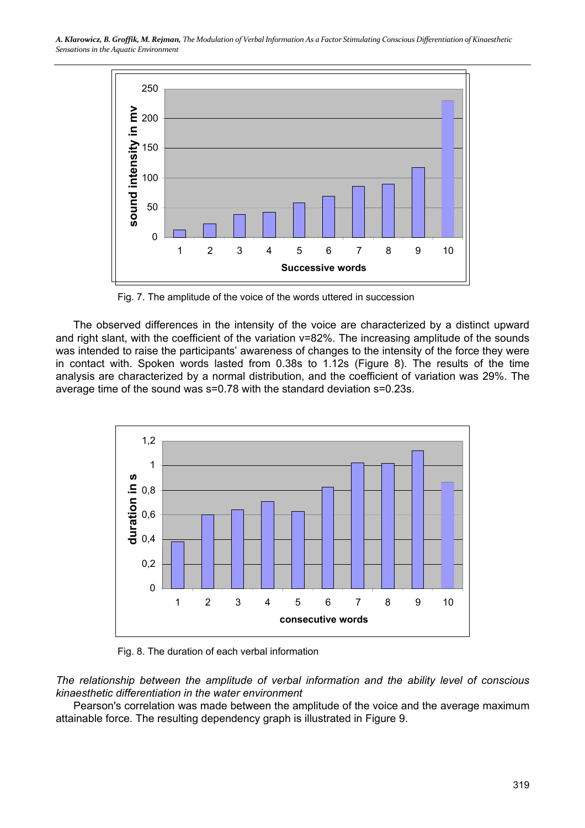

Fig. 7. The amplitude of the voice of the words uttered in succession

The observed differences in the intensity of the voice are characterized by a distinct upward and right slant, with the coefficient of the variation v=82%. The increasing amplitude of the sounds was intended to raise the participants' awareness of changes to the intensity of the force they were in contact with. Spoken words lasted from 0.38s to 1.12s (Figure 8). The results of the time analysis are characterized by a normal distribution, and the coefficient of variation was 29%. The average time of the sound was s=0.78 with the standard deviation s=0.23s.



Fig. 8. The duration of each verbal information

*The relationship between the amplitude of verbal information and the ability level of conscious kinaesthetic differentiation in the water environment* 

Pearson's correlation was made between the amplitude of the voice and the average maximum attainable force. The resulting dependency graph is illustrated in Figure 9.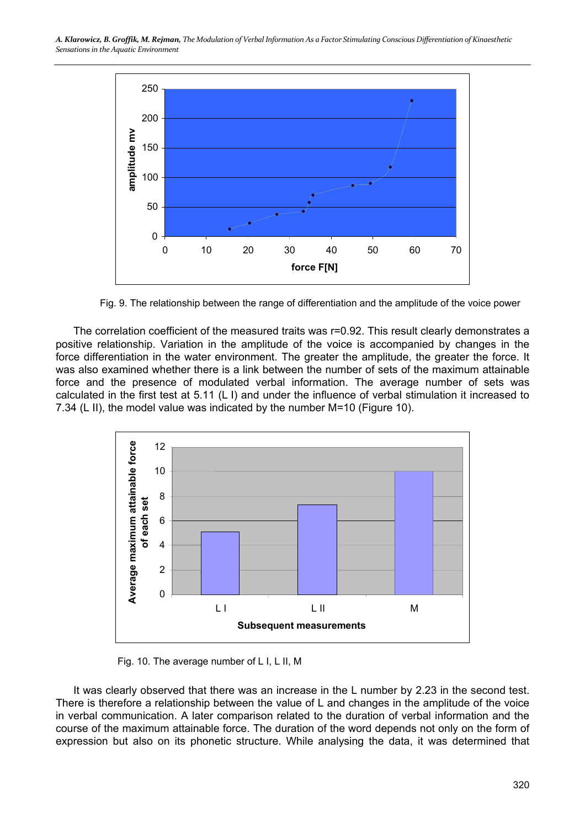

Fig. 9. The relationship between the range of differentiation and the amplitude of the voice power

The correlation coefficient of the measured traits was r=0.92. This result clearly demonstrates a positive relationship. Variation in the amplitude of the voice is accompanied by changes in the force differentiation in the water environment. The greater the amplitude, the greater the force. It was also examined whether there is a link between the number of sets of the maximum attainable force and the presence of modulated verbal information. The average number of sets was calculated in the first test at 5.11 (L I) and under the influence of verbal stimulation it increased to 7.34 (L II), the model value was indicated by the number M=10 (Figure 10).



Fig. 10. The average number of L I, L II, M

It was clearly observed that there was an increase in the L number by 2.23 in the second test. There is therefore a relationship between the value of L and changes in the amplitude of the voice in verbal communication. A later comparison related to the duration of verbal information and the course of the maximum attainable force. The duration of the word depends not only on the form of expression but also on its phonetic structure. While analysing the data, it was determined that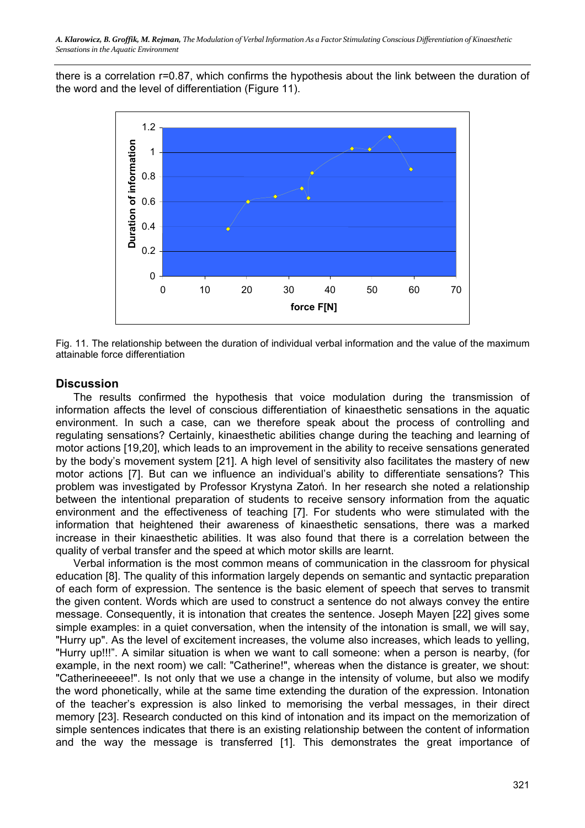there is a correlation r=0.87, which confirms the hypothesis about the link between the duration of the word and the level of differentiation (Figure 11).



Fig. 11. The relationship between the duration of individual verbal information and the value of the maximum attainable force differentiation

## **Discussion**

The results confirmed the hypothesis that voice modulation during the transmission of information affects the level of conscious differentiation of kinaesthetic sensations in the aquatic environment. In such a case, can we therefore speak about the process of controlling and regulating sensations? Certainly, kinaesthetic abilities change during the teaching and learning of motor actions [19,20], which leads to an improvement in the ability to receive sensations generated by the body's movement system [21]. A high level of sensitivity also facilitates the mastery of new motor actions [7]. But can we influence an individual's ability to differentiate sensations? This problem was investigated by Professor Krystyna Zatoń. In her research she noted a relationship between the intentional preparation of students to receive sensory information from the aquatic environment and the effectiveness of teaching [7]. For students who were stimulated with the information that heightened their awareness of kinaesthetic sensations, there was a marked increase in their kinaesthetic abilities. It was also found that there is a correlation between the quality of verbal transfer and the speed at which motor skills are learnt.

Verbal information is the most common means of communication in the classroom for physical education [8]. The quality of this information largely depends on semantic and syntactic preparation of each form of expression. The sentence is the basic element of speech that serves to transmit the given content. Words which are used to construct a sentence do not always convey the entire message. Consequently, it is intonation that creates the sentence. Joseph Mayen [22] gives some simple examples: in a quiet conversation, when the intensity of the intonation is small, we will say, "Hurry up". As the level of excitement increases, the volume also increases, which leads to yelling, "Hurry up!!!". A similar situation is when we want to call someone: when a person is nearby, (for example, in the next room) we call: "Catherine!", whereas when the distance is greater, we shout: "Catherineeeee!". Is not only that we use a change in the intensity of volume, but also we modify the word phonetically, while at the same time extending the duration of the expression. Intonation of the teacher's expression is also linked to memorising the verbal messages, in their direct memory [23]. Research conducted on this kind of intonation and its impact on the memorization of simple sentences indicates that there is an existing relationship between the content of information and the way the message is transferred [1]. This demonstrates the great importance of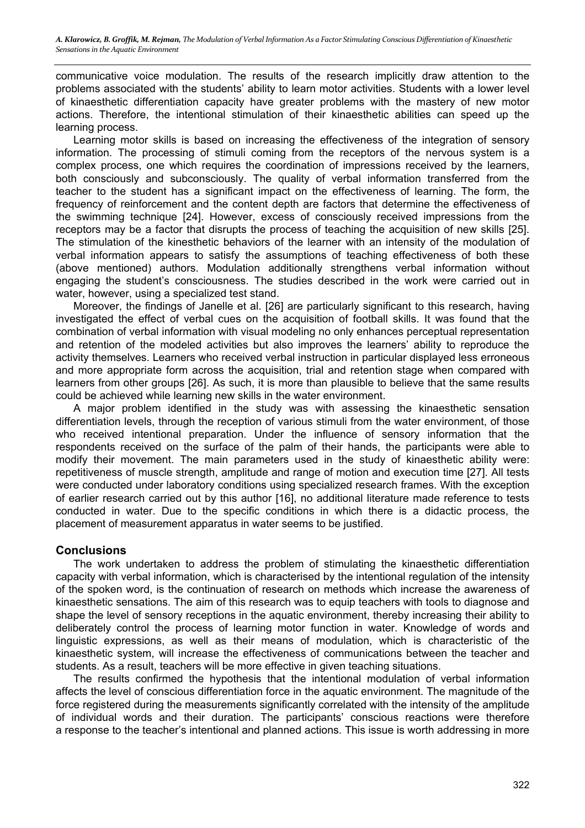communicative voice modulation. The results of the research implicitly draw attention to the problems associated with the students' ability to learn motor activities. Students with a lower level of kinaesthetic differentiation capacity have greater problems with the mastery of new motor actions. Therefore, the intentional stimulation of their kinaesthetic abilities can speed up the learning process.

Learning motor skills is based on increasing the effectiveness of the integration of sensory information. The processing of stimuli coming from the receptors of the nervous system is a complex process, one which requires the coordination of impressions received by the learners, both consciously and subconsciously. The quality of verbal information transferred from the teacher to the student has a significant impact on the effectiveness of learning. The form, the frequency of reinforcement and the content depth are factors that determine the effectiveness of the swimming technique [24]. However, excess of consciously received impressions from the receptors may be a factor that disrupts the process of teaching the acquisition of new skills [25]. The stimulation of the kinesthetic behaviors of the learner with an intensity of the modulation of verbal information appears to satisfy the assumptions of teaching effectiveness of both these (above mentioned) authors. Modulation additionally strengthens verbal information without engaging the student's consciousness. The studies described in the work were carried out in water, however, using a specialized test stand.

Moreover, the findings of Janelle et al. [26] are particularly significant to this research, having investigated the effect of verbal cues on the acquisition of football skills. It was found that the combination of verbal information with visual modeling no only enhances perceptual representation and retention of the modeled activities but also improves the learners' ability to reproduce the activity themselves. Learners who received verbal instruction in particular displayed less erroneous and more appropriate form across the acquisition, trial and retention stage when compared with learners from other groups [26]. As such, it is more than plausible to believe that the same results could be achieved while learning new skills in the water environment.

A major problem identified in the study was with assessing the kinaesthetic sensation differentiation levels, through the reception of various stimuli from the water environment, of those who received intentional preparation. Under the influence of sensory information that the respondents received on the surface of the palm of their hands, the participants were able to modify their movement. The main parameters used in the study of kinaesthetic ability were: repetitiveness of muscle strength, amplitude and range of motion and execution time [27]. All tests were conducted under laboratory conditions using specialized research frames. With the exception of earlier research carried out by this author [16], no additional literature made reference to tests conducted in water. Due to the specific conditions in which there is a didactic process, the placement of measurement apparatus in water seems to be justified.

## **Conclusions**

The work undertaken to address the problem of stimulating the kinaesthetic differentiation capacity with verbal information, which is characterised by the intentional regulation of the intensity of the spoken word, is the continuation of research on methods which increase the awareness of kinaesthetic sensations. The aim of this research was to equip teachers with tools to diagnose and shape the level of sensory receptions in the aquatic environment, thereby increasing their ability to deliberately control the process of learning motor function in water. Knowledge of words and linguistic expressions, as well as their means of modulation, which is characteristic of the kinaesthetic system, will increase the effectiveness of communications between the teacher and students. As a result, teachers will be more effective in given teaching situations.

The results confirmed the hypothesis that the intentional modulation of verbal information affects the level of conscious differentiation force in the aquatic environment. The magnitude of the force registered during the measurements significantly correlated with the intensity of the amplitude of individual words and their duration. The participants' conscious reactions were therefore a response to the teacher's intentional and planned actions. This issue is worth addressing in more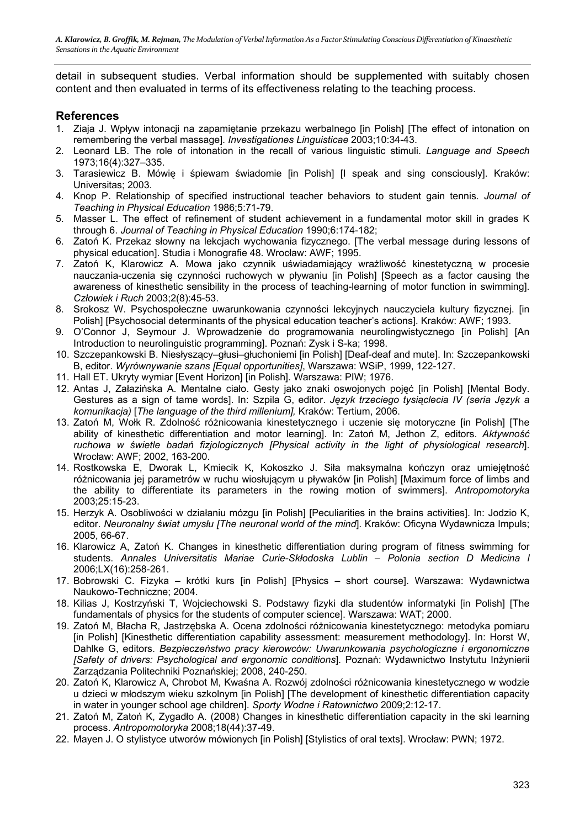detail in subsequent studies. Verbal information should be supplemented with suitably chosen content and then evaluated in terms of its effectiveness relating to the teaching process.

# **References**

- 1. Ziaja J. Wpływ intonacji na zapamiętanie przekazu werbalnego [in Polish] [The effect of intonation on remembering the verbal massage]. *Investigationes Linguisticae* 2003;10:34-43.
- 2. Leonard LB. The role of intonation in the recall of various linguistic stimuli. *Language and Speech* 1973;16(4):327–335.
- 3. Tarasiewicz B. Mówię i śpiewam świadomie [in Polish] [I speak and sing consciously]. Kraków: Universitas; 2003.
- 4. Knop P. Relationship of specified instructional teacher behaviors to student gain tennis. *Journal of Teaching in Physical Education* 1986;5:71-79.
- 5. Masser L. The effect of refinement of student achievement in a fundamental motor skill in grades K through 6. *Journal of Teaching in Physical Education* 1990;6:174-182;
- 6. Zatoń K. Przekaz słowny na lekcjach wychowania fizycznego. [The verbal message during lessons of physical education]. Studia i Monografie 48. Wrocław: AWF; 1995.
- 7. Zatoń K, Klarowicz A. Mowa jako czynnik uświadamiający wrażliwość kinestetyczną w procesie nauczania-uczenia się czynności ruchowych w pływaniu [in Polish] [Speech as a factor causing the awareness of kinesthetic sensibility in the process of teaching-learning of motor function in swimming]. *Człowiek i Ruch* 2003;2(8):45-53.
- 8. Srokosz W. Psychospołeczne uwarunkowania czynności lekcyjnych nauczyciela kultury fizycznej. [in Polish] [Psychosocial determinants of the physical education teacher's actions]. Kraków: AWF; 1993.
- 9. O'Connor J, Seymour J. Wprowadzenie do programowania neurolingwistycznego [in Polish] [An Introduction to neurolinguistic programming]. Poznań: Zysk i S-ka; 1998.
- 10. Szczepankowski B. Niesłyszący–głusi–głuchoniemi [in Polish] [Deaf-deaf and mute]. In: Szczepankowski B, editor. *Wyrównywanie szans [Equal opportunities]*, Warszawa: WSiP, 1999, 122-127.
- 11. Hall ET. Ukryty wymiar [Event Horizon] [in Polish]. Warszawa: PIW; 1976.
- 12. Antas J, Załazińska A. Mentalne ciało. Gesty jako znaki oswojonych pojęć [in Polish] [Mental Body. Gestures as a sign of tame words]. In: Szpila G, editor. *Język trzeciego tysiąclecia IV (seria Język a komunikacja)* [*The language of the third millenium],* Kraków: Tertium, 2006.
- 13. Zatoń M, Wołk R. Zdolność różnicowania kinestetycznego i uczenie się motoryczne [in Polish] [The ability of kinesthetic differentiation and motor learning]. In: Zatoń M, Jethon Z, editors. *Aktywność ruchowa w świetle badań fizjologicznych [Physical activity in the light of physiological research*]. Wrocław: AWF; 2002, 163-200.
- 14. Rostkowska E, Dworak L, Kmiecik K, Kokoszko J. Siła maksymalna kończyn oraz umiejętność różnicowania jej parametrów w ruchu wiosłującym u pływaków [in Polish] [Maximum force of limbs and the ability to differentiate its parameters in the rowing motion of swimmers]. *Antropomotoryka* 2003;25:15-23.
- 15. Herzyk A. Osobliwości w działaniu mózgu [in Polish] [Peculiarities in the brains activities]. In: Jodzio K, editor. *Neuronalny świat umysłu [The neuronal world of the mind*]. Kraków: Oficyna Wydawnicza Impuls; 2005, 66-67.
- 16. Klarowicz A, Zatoń K. Changes in kinesthetic differentiation during program of fitness swimming for students. *Annales Universitatis Mariae Curie-Skłodoska Lublin – Polonia section D Medicina l*  2006;LX(16):258-261.
- 17. Bobrowski C. Fizyka krótki kurs [in Polish] [Physics short course]. Warszawa: Wydawnictwa Naukowo-Techniczne; 2004.
- 18. Kilias J, Kostrzyński T, Wojciechowski S. Podstawy fizyki dla studentów informatyki [in Polish] [The fundamentals of physics for the students of computer science]. Warszawa: WAT; 2000.
- 19. Zatoń M, Błacha R, Jastrzębska A. Ocena zdolności różnicowania kinestetycznego: metodyka pomiaru [in Polish] [Kinesthetic differentiation capability assessment: measurement methodology]. In: Horst W, Dahlke G, editors. *Bezpieczeństwo pracy kierowców: Uwarunkowania psychologiczne i ergonomiczne [Safety of drivers: Psychological and ergonomic conditions*]. Poznań: Wydawnictwo Instytutu Inżynierii Zarządzania Politechniki Poznańskiej; 2008, 240-250.
- 20. Zatoń K, Klarowicz A, Chrobot M, Kwaśna A. Rozwój zdolności różnicowania kinestetycznego w wodzie u dzieci w młodszym wieku szkolnym [in Polish] [The development of kinesthetic differentiation capacity in water in younger school age children]. *Sporty Wodne i Ratownictwo* 2009;2:12-17.
- 21. Zatoń M, Zatoń K, Zygadło A. (2008) Changes in kinesthetic differentiation capacity in the ski learning process. *Antropomotoryka* 2008;18(44):37-49.
- 22. Mayen J. O stylistyce utworów mówionych [in Polish] [Stylistics of oral texts]. Wrocław: PWN; 1972.